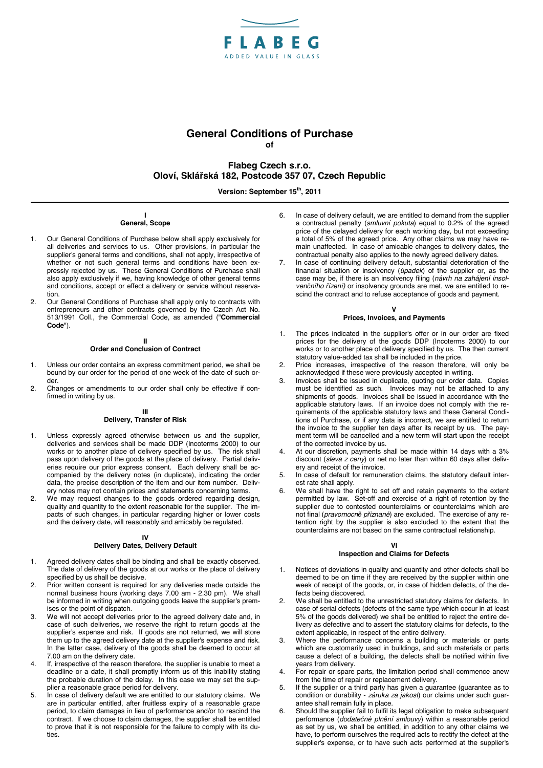

# **General Conditions of Purchase of**

# **Flabeg Czech s.r.o. Oloví, Sklářská 182, Postcode 357 07, Czech Republic**

Version: September 15<sup>th</sup>, 2011

## **I General, Scope**

- 1. Our General Conditions of Purchase below shall apply exclusively for all deliveries and services to us. Other provisions, in particular the supplier's general terms and conditions, shall not apply, irrespective of whether or not such general terms and conditions have been expressly rejected by us. These General Conditions of Purchase shall also apply exclusively if we, having knowledge of other general terms and conditions, accept or effect a delivery or service without reservation.
- 2. Our General Conditions of Purchase shall apply only to contracts with entrepreneurs and other contracts governed by the Czech Act No. 513/1991 Coll., the Commercial Code, as amended ("**Commercial Code**").

#### **II Order and Conclusion of Contract**

- 1. Unless our order contains an express commitment period, we shall be bound by our order for the period of one week of the date of such order.
- 2. Changes or amendments to our order shall only be effective if confirmed in writing by us.

#### **III**

### **Delivery, Transfer of Risk**

- 1. Unless expressly agreed otherwise between us and the supplier, deliveries and services shall be made DDP (Incoterms 2000) to our works or to another place of delivery specified by us. The risk shall pass upon delivery of the goods at the place of delivery. Partial deliveries require our prior express consent. Each delivery shall be accompanied by the delivery notes (in duplicate), indicating the order data, the precise description of the item and our item number. Delivery notes may not contain prices and statements concerning terms.
- 2. We may request changes to the goods ordered regarding design, quality and quantity to the extent reasonable for the supplier. The impacts of such changes, in particular regarding higher or lower costs and the delivery date, will reasonably and amicably be regulated.

#### **IV**

## **Delivery Dates, Delivery Default**

- 1. Agreed delivery dates shall be binding and shall be exactly observed. The date of delivery of the goods at our works or the place of delivery specified by us shall be decisive.
- 2. Prior written consent is required for any deliveries made outside the normal business hours (working days 7.00 am - 2.30 pm). We shall be informed in writing when outgoing goods leave the supplier's premises or the point of dispatch.
- 3. We will not accept deliveries prior to the agreed delivery date and, in case of such deliveries, we reserve the right to return goods at the supplier's expense and risk. If goods are not returned, we will store them up to the agreed delivery date at the supplier's expense and risk. In the latter case, delivery of the goods shall be deemed to occur at 7.00 am on the delivery date.
- 4. If, irrespective of the reason therefore, the supplier is unable to meet a deadline or a date, it shall promptly inform us of this inability stating the probable duration of the delay. In this case we may set the supplier a reasonable grace period for delivery.
- 5. In case of delivery default we are entitled to our statutory claims. We are in particular entitled, after fruitless expiry of a reasonable grace period, to claim damages in lieu of performance and/or to rescind the contract. If we choose to claim damages, the supplier shall be entitled to prove that it is not responsible for the failure to comply with its duties.
- 6. In case of delivery default, we are entitled to demand from the supplier a contractual penalty (*smluvní pokuta*) equal to 0.2% of the agreed price of the delayed delivery for each working day, but not exceeding a total of 5% of the agreed price. Any other claims we may have remain unaffected. In case of amicable changes to delivery dates, the contractual penalty also applies to the newly agreed delivery dates.
- In case of continuing delivery default, substantial deterioration of the financial situation or insolvency (*úpadek*) of the supplier or, as the case may be, if there is an insolvency filing (*návrh na zahájení insolvenčního řízení)* or insolvency grounds are met, we are entitled to rescind the contract and to refuse acceptance of goods and payment.

#### **V Prices, Invoices, and Payments**

- 1. The prices indicated in the supplier's offer or in our order are fixed prices for the delivery of the goods DDP (Incoterms 2000) to our works or to another place of delivery specified by us. The then current statutory value-added tax shall be included in the price.
- 2. Price increases, irrespective of the reason therefore, will only be acknowledged if these were previously accepted in writing.
- 3. Invoices shall be issued in duplicate, quoting our order data. Copies must be identified as such. Invoices may not be attached to any shipments of goods. Invoices shall be issued in accordance with the applicable statutory laws. If an invoice does not comply with the requirements of the applicable statutory laws and these General Conditions of Purchase, or if any data is incorrect, we are entitled to return the invoice to the supplier ten days after its receipt by us. The payment term will be cancelled and a new term will start upon the receipt of the corrected invoice by us.
- 4. At our discretion, payments shall be made within 14 days with a 3% discount (*sleva z ceny*) or net no later than within 60 days after delivery and receipt of the invoice.
- 5. In case of default for remuneration claims, the statutory default interest rate shall apply.
- 6. We shall have the right to set off and retain payments to the extent permitted by law. Set-off and exercise of a right of retention by the supplier due to contested counterclaims or counterclaims which are not final (*pravomocně přiznané*) are excluded. The exercise of any retention right by the supplier is also excluded to the extent that the counterclaims are not based on the same contractual relationship.

## **VI**

## **Inspection and Claims for Defects**

- 1. Notices of deviations in quality and quantity and other defects shall be deemed to be on time if they are received by the supplier within one week of receipt of the goods, or, in case of hidden defects, of the defects being discovered.
- 2. We shall be entitled to the unrestricted statutory claims for defects. In case of serial defects (defects of the same type which occur in at least 5% of the goods delivered) we shall be entitled to reject the entire delivery as defective and to assert the statutory claims for defects, to the extent applicable, in respect of the entire delivery.
- 3. Where the performance concerns a building or materials or parts which are customarily used in buildings, and such materials or parts cause a defect of a building, the defects shall be notified within five years from delivery.
- 4. For repair or spare parts, the limitation period shall commence anew from the time of repair or replacement delivery.
- 5. If the supplier or a third party has given a guarantee (guarantee as to condition or durability - *záruka za jakost*) our claims under such guarantee shall remain fully in place.
- 6. Should the supplier fail to fulfil its legal obligation to make subsequent performance (*dodatečné plnění smlouvy*) within a reasonable period as set by us, we shall be entitled, in addition to any other claims we have, to perform ourselves the required acts to rectify the defect at the supplier's expense, or to have such acts performed at the supplier's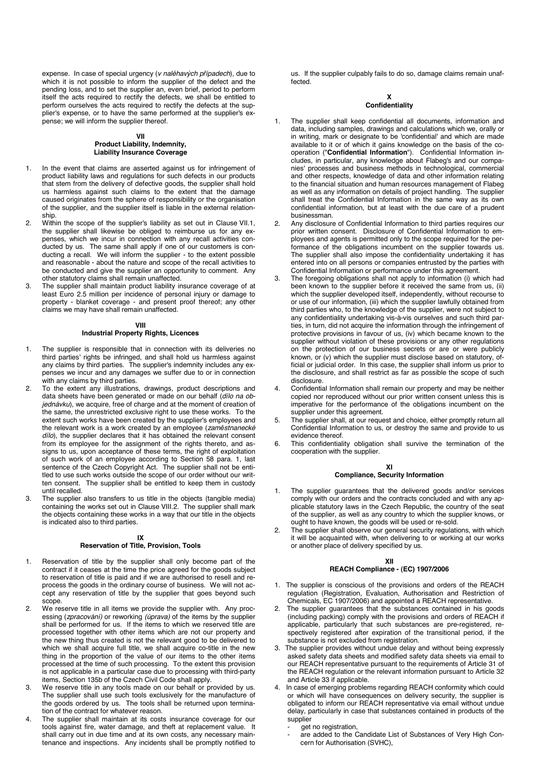expense. In case of special urgency (*v naléhavých případech*), due to which it is not possible to inform the supplier of the defect and the pending loss, and to set the supplier an, even brief, period to perform itself the acts required to rectify the defects, we shall be entitled to perform ourselves the acts required to rectify the defects at the supplier's expense, or to have the same performed at the supplier's expense; we will inform the supplier thereof.

## **VII**

## **Product Liability, Indemnity, Liability Insurance Coverage**

- In the event that claims are asserted against us for infringement of product liability laws and regulations for such defects in our products that stem from the delivery of defective goods, the supplier shall hold us harmless against such claims to the extent that the damage caused originates from the sphere of responsibility or the organisation of the supplier, and the supplier itself is liable in the external relationship.
- 2. Within the scope of the supplier's liability as set out in Clause VII.1, the supplier shall likewise be obliged to reimburse us for any expenses, which we incur in connection with any recall activities conducted by us. The same shall apply if one of our customers is conducting a recall. We will inform the supplier - to the extent possible and reasonable - about the nature and scope of the recall activities to be conducted and give the supplier an opportunity to comment. Any other statutory claims shall remain unaffected.
- 3. The supplier shall maintain product liability insurance coverage of at least Euro 2.5 million per incidence of personal injury or damage to property - blanket coverage - and present proof thereof; any other claims we may have shall remain unaffected.

## **VIII**

## **Industrial Property Rights, Licences**

- 1. The supplier is responsible that in connection with its deliveries no third parties' rights be infringed, and shall hold us harmless against any claims by third parties. The supplier's indemnity includes any expenses we incur and any damages we suffer due to or in connection with any claims by third parties.
- 2. To the extent any illustrations, drawings, product descriptions and data sheets have been generated or made on our behalf (*dílo na objednávku*), we acquire, free of charge and at the moment of creation of the same, the unrestricted exclusive right to use these works. To the extent such works have been created by the supplier's employees and the relevant work is a work created by an employee (*zaměstnanecké dílo*), the supplier declares that it has obtained the relevant consent from its employee for the assignment of the rights thereto, and assigns to us, upon acceptance of these terms, the right of exploitation of such work of an employee according to Section 58 para. 1, last sentence of the Czech Copyright Act. The supplier shall not be entitled to use such works outside the scope of our order without our written consent. The supplier shall be entitled to keep them in custody until recalled.
- 3. The supplier also transfers to us title in the objects (tangible media) containing the works set out in Clause VIII.2. The supplier shall mark the objects containing these works in a way that our title in the objects is indicated also to third parties.

#### **IX**

### **Reservation of Title, Provision, Tools**

- 1. Reservation of title by the supplier shall only become part of the contract if it ceases at the time the price agreed for the goods subject to reservation of title is paid and if we are authorised to resell and reprocess the goods in the ordinary course of business. We will not accept any reservation of title by the supplier that goes beyond such scope.
- 2. We reserve title in all items we provide the supplier with. Any processing (*zpracování)* or reworking *(úprava)* of the items by the supplier shall be performed for us. If the items to which we reserved title are processed together with other items which are not our property and the new thing thus created is not the relevant good to be delivered to which we shall acquire full title, we shall acquire co-title in the new thing in the proportion of the value of our items to the other items processed at the time of such processing. To the extent this provision is not applicable in a particular case due to processing with third-party items, Section 135b of the Czech Civil Code shall apply.
- 3. We reserve title in any tools made on our behalf or provided by us. The supplier shall use such tools exclusively for the manufacture of the goods ordered by us. The tools shall be returned upon termination of the contract for whatever reason.
- The supplier shall maintain at its costs insurance coverage for our tools against fire, water damage, and theft at replacement value. It shall carry out in due time and at its own costs, any necessary maintenance and inspections. Any incidents shall be promptly notified to

us. If the supplier culpably fails to do so, damage claims remain unaffected.

#### **X Confidentiality**

- The supplier shall keep confidential all documents, information and data, including samples, drawings and calculations which we, orally or in writing, mark or designate to be 'confidential' and which are made available to it or of which it gains knowledge on the basis of the cooperation ("**Confidential Information**"). Confidential Information includes, in particular, any knowledge about Flabeg's and our companies' processes and business methods in technological, commercial and other respects, knowledge of data and other information relating to the financial situation and human resources management of Flabeg as well as any information on details of project handling. The supplier shall treat the Confidential Information in the same way as its own confidential information, but at least with the due care of a prudent businessman.
- 2. Any disclosure of Confidential Information to third parties requires our prior written consent. Disclosure of Confidential Information to employees and agents is permitted only to the scope required for the performance of the obligations incumbent on the supplier towards us. The supplier shall also impose the confidentiality undertaking it has entered into on all persons or companies entrusted by the parties with Confidential Information or performance under this agreement.
- The foregoing obligations shall not apply to information (i) which had been known to the supplier before it received the same from us, (ii) which the supplier developed itself, independently, without recourse to or use of our information, (iii) which the supplier lawfully obtained from third parties who, to the knowledge of the supplier, were not subject to any confidentiality undertaking vis-à-vis ourselves and such third parties, in turn, did not acquire the information through the infringement of protective provisions in favour of us, (iv) which became known to the supplier without violation of these provisions or any other regulations on the protection of our business secrets or are or were publicly known, or (v) which the supplier must disclose based on statutory, official or judicial order. In this case, the supplier shall inform us prior to the disclosure, and shall restrict as far as possible the scope of such disclosure.
- Confidential Information shall remain our property and may be neither copied nor reproduced without our prior written consent unless this is imperative for the performance of the obligations incumbent on the supplier under this agreement.
- 5. The supplier shall, at our request and choice, either promptly return all Confidential Information to us, or destroy the same and provide to us evidence thereof.
- 6. This confidentiality obligation shall survive the termination of the cooperation with the supplier.

### **XI**

## **Compliance, Security Information**

- The supplier guarantees that the delivered goods and/or services comply with our orders and the contracts concluded and with any applicable statutory laws in the Czech Republic, the country of the seat of the supplier, as well as any country to which the supplier knows, or ought to have known, the goods will be used or re-sold.
- 2. The supplier shall observe our general security regulations, with which it will be acquainted with, when delivering to or working at our works or another place of delivery specified by us.

### **XII**

## **REACH Compliance - (EC) 1907/2006**

- 1. The supplier is conscious of the provisions and orders of the REACH regulation (Registration, Evaluation, Authorisation and Restriction of Chemicals, EC 1907/2006) and appointed a REACH representative.
- The supplier guarantees that the substances contained in his goods (including packing) comply with the provisions and orders of REACH if applicable, particularly that such substances are pre-registered, respectively registered after expiration of the transitional period, if the substance is not excluded from registration.
- 3. The supplier provides without undue delay and without being expressly asked safety data sheets and modified safety data sheets via email to our REACH representative pursuant to the requirements of Article 31 of the REACH regulation or the relevant information pursuant to Article 32 and Article 33 if applicable.
- In case of emerging problems regarding REACH conformity which could or which will have consequences on delivery security, the supplier is obligated to inform our REACH representative via email without undue delay, particularly in case that substances contained in products of the supplier

## qet no registration.

are added to the Candidate List of Substances of Very High Concern for Authorisation (SVHC),